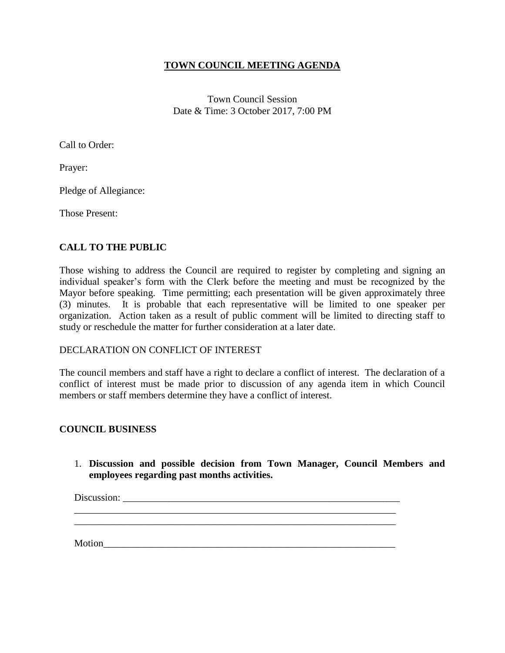## **TOWN COUNCIL MEETING AGENDA**

Town Council Session Date & Time: 3 October 2017, 7:00 PM

Call to Order:

Prayer:

Pledge of Allegiance:

Those Present:

# **CALL TO THE PUBLIC**

Those wishing to address the Council are required to register by completing and signing an individual speaker's form with the Clerk before the meeting and must be recognized by the Mayor before speaking. Time permitting; each presentation will be given approximately three (3) minutes. It is probable that each representative will be limited to one speaker per organization. Action taken as a result of public comment will be limited to directing staff to study or reschedule the matter for further consideration at a later date.

#### DECLARATION ON CONFLICT OF INTEREST

The council members and staff have a right to declare a conflict of interest. The declaration of a conflict of interest must be made prior to discussion of any agenda item in which Council members or staff members determine they have a conflict of interest.

## **COUNCIL BUSINESS**

1. **Discussion and possible decision from Town Manager, Council Members and employees regarding past months activities.**

\_\_\_\_\_\_\_\_\_\_\_\_\_\_\_\_\_\_\_\_\_\_\_\_\_\_\_\_\_\_\_\_\_\_\_\_\_\_\_\_\_\_\_\_\_\_\_\_\_\_\_\_\_\_\_\_\_\_\_\_\_\_\_\_\_ \_\_\_\_\_\_\_\_\_\_\_\_\_\_\_\_\_\_\_\_\_\_\_\_\_\_\_\_\_\_\_\_\_\_\_\_\_\_\_\_\_\_\_\_\_\_\_\_\_\_\_\_\_\_\_\_\_\_\_\_\_\_\_\_\_

Discussion:

 $Motion$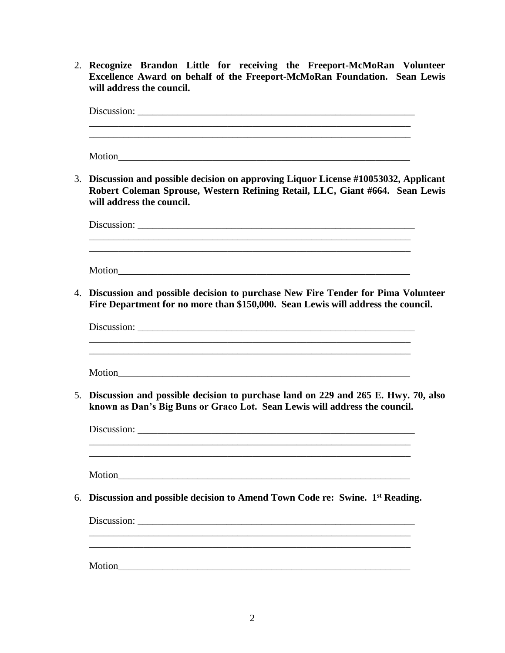2. **Recognize Brandon Little for receiving the Freeport-McMoRan Volunteer Excellence Award on behalf of the Freeport-McMoRan Foundation. Sean Lewis will address the council.**

Discussion: \_\_\_\_\_\_\_\_\_\_\_\_\_\_\_\_\_\_\_\_\_\_\_\_\_\_\_\_\_\_\_\_\_\_\_\_\_\_\_\_\_\_\_\_\_\_\_\_\_\_\_\_\_\_\_\_ \_\_\_\_\_\_\_\_\_\_\_\_\_\_\_\_\_\_\_\_\_\_\_\_\_\_\_\_\_\_\_\_\_\_\_\_\_\_\_\_\_\_\_\_\_\_\_\_\_\_\_\_\_\_\_\_\_\_\_\_\_\_\_\_\_ Motion\_\_\_\_\_\_\_\_\_\_\_\_\_\_\_\_\_\_\_\_\_\_\_\_\_\_\_\_\_\_\_\_\_\_\_\_\_\_\_\_\_\_\_\_\_\_\_\_\_\_\_\_\_\_\_\_\_\_\_ 3. **Discussion and possible decision on approving Liquor License #10053032, Applicant Robert Coleman Sprouse, Western Refining Retail, LLC, Giant #664. Sean Lewis will address the council.** Discussion: \_\_\_\_\_\_\_\_\_\_\_\_\_\_\_\_\_\_\_\_\_\_\_\_\_\_\_\_\_\_\_\_\_\_\_\_\_\_\_\_\_\_\_\_\_\_\_\_\_\_\_\_\_\_\_\_ \_\_\_\_\_\_\_\_\_\_\_\_\_\_\_\_\_\_\_\_\_\_\_\_\_\_\_\_\_\_\_\_\_\_\_\_\_\_\_\_\_\_\_\_\_\_\_\_\_\_\_\_\_\_\_\_\_\_\_\_\_\_\_\_\_ Motion\_\_\_\_\_\_\_\_\_\_\_\_\_\_\_\_\_\_\_\_\_\_\_\_\_\_\_\_\_\_\_\_\_\_\_\_\_\_\_\_\_\_\_\_\_\_\_\_\_\_\_\_\_\_\_\_\_\_\_ 4. **Discussion and possible decision to purchase New Fire Tender for Pima Volunteer Fire Department for no more than \$150,000. Sean Lewis will address the council.** Discussion: \_\_\_\_\_\_\_\_\_\_\_\_\_\_\_\_\_\_\_\_\_\_\_\_\_\_\_\_\_\_\_\_\_\_\_\_\_\_\_\_\_\_\_\_\_\_\_\_\_\_\_\_\_\_\_\_\_\_\_\_\_\_\_\_\_ Motion 5. **Discussion and possible decision to purchase land on 229 and 265 E. Hwy. 70, also known as Dan's Big Buns or Graco Lot. Sean Lewis will address the council.** Discussion: \_\_\_\_\_\_\_\_\_\_\_\_\_\_\_\_\_\_\_\_\_\_\_\_\_\_\_\_\_\_\_\_\_\_\_\_\_\_\_\_\_\_\_\_\_\_\_\_\_\_\_\_\_\_\_\_ \_\_\_\_\_\_\_\_\_\_\_\_\_\_\_\_\_\_\_\_\_\_\_\_\_\_\_\_\_\_\_\_\_\_\_\_\_\_\_\_\_\_\_\_\_\_\_\_\_\_\_\_\_\_\_\_\_\_\_\_\_\_\_\_\_ \_\_\_\_\_\_\_\_\_\_\_\_\_\_\_\_\_\_\_\_\_\_\_\_\_\_\_\_\_\_\_\_\_\_\_\_\_\_\_\_\_\_\_\_\_\_\_\_\_\_\_\_\_\_\_\_\_\_\_\_\_\_\_\_\_ Motion 6. **Discussion and possible decision to Amend Town Code re: Swine. 1st Reading.** Discussion: \_\_\_\_\_\_\_\_\_\_\_\_\_\_\_\_\_\_\_\_\_\_\_\_\_\_\_\_\_\_\_\_\_\_\_\_\_\_\_\_\_\_\_\_\_\_\_\_\_\_\_\_\_\_\_\_ \_\_\_\_\_\_\_\_\_\_\_\_\_\_\_\_\_\_\_\_\_\_\_\_\_\_\_\_\_\_\_\_\_\_\_\_\_\_\_\_\_\_\_\_\_\_\_\_\_\_\_\_\_\_\_\_\_\_\_\_\_\_\_\_\_ Motion\_\_\_\_\_\_\_\_\_\_\_\_\_\_\_\_\_\_\_\_\_\_\_\_\_\_\_\_\_\_\_\_\_\_\_\_\_\_\_\_\_\_\_\_\_\_\_\_\_\_\_\_\_\_\_\_\_\_\_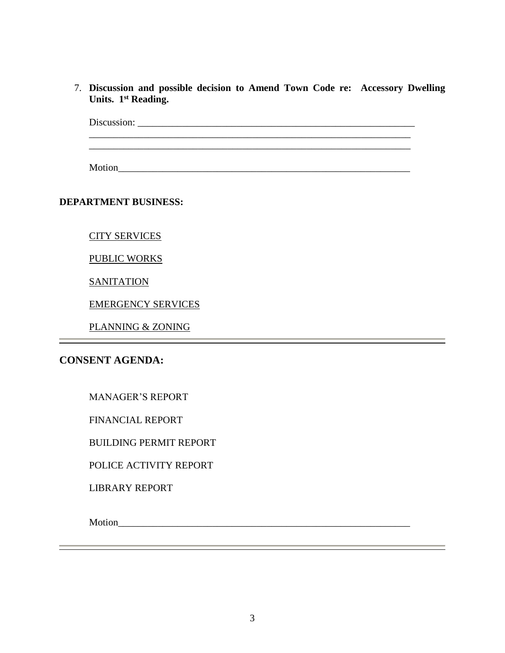7. **Discussion and possible decision to Amend Town Code re: Accessory Dwelling Units. 1st Reading.**

Discussion: \_\_\_\_\_\_\_\_\_\_\_\_\_\_\_\_\_\_\_\_\_\_\_\_\_\_\_\_\_\_\_\_\_\_\_\_\_\_\_\_\_\_\_\_\_\_\_\_\_\_\_\_\_\_\_\_  $\mathcal{L}_\mathcal{L} = \{ \mathcal{L}_\mathcal{L} = \{ \mathcal{L}_\mathcal{L} = \{ \mathcal{L}_\mathcal{L} = \{ \mathcal{L}_\mathcal{L} = \{ \mathcal{L}_\mathcal{L} = \{ \mathcal{L}_\mathcal{L} = \{ \mathcal{L}_\mathcal{L} = \{ \mathcal{L}_\mathcal{L} = \{ \mathcal{L}_\mathcal{L} = \{ \mathcal{L}_\mathcal{L} = \{ \mathcal{L}_\mathcal{L} = \{ \mathcal{L}_\mathcal{L} = \{ \mathcal{L}_\mathcal{L} = \{ \mathcal{L}_\mathcal{$ 

Motion\_\_\_\_\_\_\_\_\_\_\_\_\_\_\_\_\_\_\_\_\_\_\_\_\_\_\_\_\_\_\_\_\_\_\_\_\_\_\_\_\_\_\_\_\_\_\_\_\_\_\_\_\_\_\_\_\_\_\_

\_\_\_\_\_\_\_\_\_\_\_\_\_\_\_\_\_\_\_\_\_\_\_\_\_\_\_\_\_\_\_\_\_\_\_\_\_\_\_\_\_\_\_\_\_\_\_\_\_\_\_\_\_\_\_\_\_\_\_\_\_\_\_\_\_

#### **DEPARTMENT BUSINESS:**

CITY SERVICES

#### PUBLIC WORKS

**SANITATION** 

EMERGENCY SERVICES

PLANNING & ZONING

# **CONSENT AGENDA:**

FINANCIAL REPORT

BUILDING PERMIT REPORT

POLICE ACTIVITY REPORT

LIBRARY REPORT

Motion\_\_\_\_\_\_\_\_\_\_\_\_\_\_\_\_\_\_\_\_\_\_\_\_\_\_\_\_\_\_\_\_\_\_\_\_\_\_\_\_\_\_\_\_\_\_\_\_\_\_\_\_\_\_\_\_\_\_\_

<u> 1989 - Johann Barn, amerikan berkemanan bahasa di bahasa di bahasa di bahasa di bahasa di bahasa di bahasa d</u>